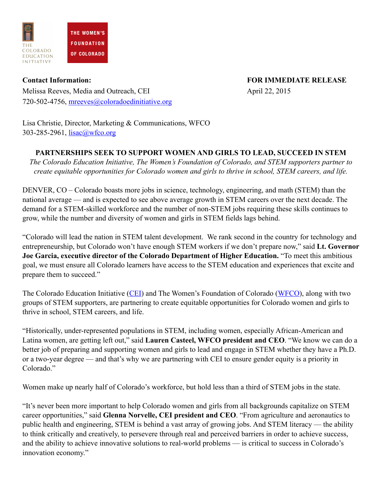

Melissa Reeves, Media and Outreach, CEI April 22, 2015 720-502-4756, [mreeves@coloradoedinitiative.org](mailto:mreeves@coloradoedinitiative.org)

**Contact Information: FOR IMMEDIATE RELEASE**

Lisa Christie, Director, Marketing & Communications, WFCO 303-285-2961, [lisac@wfco.org](mailto:lisac@wfco.org) 

## **PARTNERSHIPS SEEK TO SUPPORT WOMEN AND GIRLS TO LEAD, SUCCEED IN STEM**

*The Colorado Education Initiative, The Women's Foundation of Colorado, and STEM supporters partner to create equitable opportunities for Colorado women and girls to thrive in school, STEM careers, and life.* 

DENVER, CO – Colorado boasts more jobs in science, technology, engineering, and math (STEM) than the national average — and is expected to see above average growth in STEM careers over the next decade. The demand for a STEM-skilled workforce and the number of non-STEM jobs requiring these skills continues to grow, while the number and diversity of women and girls in STEM fields lags behind.

"Colorado will lead the nation in STEM talent development. We rank second in the country for technology and entrepreneurship, but Colorado won't have enough STEM workers if we don't prepare now," said **Lt. Governor Joe Garcia, executive director of the Colorado Department of Higher Education.** "To meet this ambitious goal, we must ensure all Colorado learners have access to the STEM education and experiences that excite and prepare them to succeed."

The Colorado Education Initiative [\(CEI\)](http://www.coloradoedinitiative.org/) and The Women's Foundation of Colorado ([WFCO](http://www.wfco.org/)), along with two groups of STEM supporters, are partnering to create equitable opportunities for Colorado women and girls to thrive in school, STEM careers, and life.

"Historically, under-represented populations in STEM, including women, especially African-American and Latina women, are getting left out," said **Lauren Casteel, WFCO president and CEO**. "We know we can do a better job of preparing and supporting women and girls to lead and engage in STEM whether they have a Ph.D. or a two-year degree — and that's why we are partnering with CEI to ensure gender equity is a priority in Colorado<sup>"</sup>

Women make up nearly half of Colorado's workforce, but hold less than a third of STEM jobs in the state.

"It's never been more important to help Colorado women and girls from all backgrounds capitalize on STEM career opportunities," said **Glenna Norvelle, CEI president and CEO**. "From agriculture and aeronautics to public health and engineering, STEM is behind a vast array of growing jobs. And STEM literacy — the ability to think critically and creatively, to persevere through real and perceived barriers in order to achieve success, and the ability to achieve innovative solutions to real-world problems — is critical to success in Colorado's innovation economy."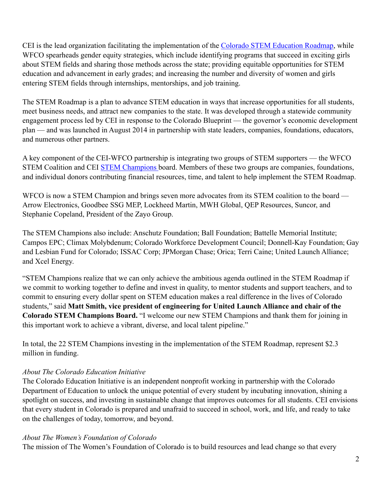CEI is the lead organization facilitating the implementation of the [Colorado STEM Education Roadmap,](http://www.coloradoedinitiative.org/our-work/stem/additional-stem-information/colorado-stem-champions/) while WFCO spearheads gender equity strategies, which include identifying programs that succeed in exciting girls about STEM fields and sharing those methods across the state; providing equitable opportunities for STEM education and advancement in early grades; and increasing the number and diversity of women and girls entering STEM fields through internships, mentorships, and job training.

The STEM Roadmap is a plan to advance STEM education in ways that increase opportunities for all students, meet business needs, and attract new companies to the state. It was developed through a statewide community engagement process led by CEI in response to the Colorado Blueprint — the governor's economic development plan — and was launched in August 2014 in partnership with state leaders, companies, foundations, educators, and numerous other partners.

A key component of the CEI-WFCO partnership is integrating two groups of STEM supporters — the WFCO STEM Coalition and CEI **STEM Champions** board. Members of these two groups are companies, foundations, and individual donors contributing financial resources, time, and talent to help implement the STEM Roadmap.

WFCO is now a STEM Champion and brings seven more advocates from its STEM coalition to the board — Arrow Electronics, Goodbee SSG MEP, Lockheed Martin, MWH Global, QEP Resources, Suncor, and Stephanie Copeland, President of the Zayo Group.

The STEM Champions also include: Anschutz Foundation; Ball Foundation; Battelle Memorial Institute; Campos EPC; Climax Molybdenum; Colorado Workforce Development Council; Donnell-Kay Foundation; Gay and Lesbian Fund for Colorado; ISSAC Corp; JPMorgan Chase; Orica; Terri Caine; United Launch Alliance; and Xcel Energy.

"STEM Champions realize that we can only achieve the ambitious agenda outlined in the STEM Roadmap if we commit to working together to define and invest in quality, to mentor students and support teachers, and to commit to ensuring every dollar spent on STEM education makes a real difference in the lives of Colorado students," said **Matt Smith, vice president of engineering for United Launch Alliance and chair of the Colorado STEM Champions Board.** "I welcome our new STEM Champions and thank them for joining in this important work to achieve a vibrant, diverse, and local talent pipeline."

In total, the 22 STEM Champions investing in the implementation of the STEM Roadmap, represent \$2.3 million in funding.

## *About The Colorado Education Initiative*

The Colorado Education Initiative is an independent nonprofit working in partnership with the Colorado Department of Education to unlock the unique potential of every student by incubating innovation, shining a spotlight on success, and investing in sustainable change that improves outcomes for all students. CEI envisions that every student in Colorado is prepared and unafraid to succeed in school, work, and life, and ready to take on the challenges of today, tomorrow, and beyond.

## *About The Women's Foundation of Colorado*

The mission of The Women's Foundation of Colorado is to build resources and lead change so that every